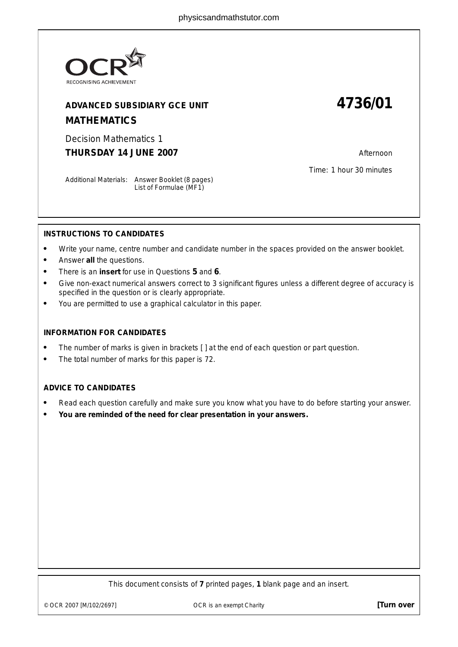

# **ADVANCED SUBSIDIARY GCE UNIT 4736/01 MATHEMATICS**

Decision Mathematics 1

**THURSDAY 14 JUNE 2007** Afternoon

Time: 1 hour 30 minutes

Additional Materials: Answer Booklet (8 pages) List of Formulae (MF1)

## **INSTRUCTIONS TO CANDIDATES**

- **•** Write your name, centre number and candidate number in the spaces provided on the answer booklet.
- **•** Answer **all** the questions.
- **•** There is an **insert** for use in Questions **5** and **6**.
- **•** Give non-exact numerical answers correct to 3 significant figures unless a different degree of accuracy is specified in the question or is clearly appropriate.
- **•** You are permitted to use a graphical calculator in this paper.

## **INFORMATION FOR CANDIDATES**

- The number of marks is given in brackets [ ] at the end of each question or part question.
- **•** The total number of marks for this paper is 72.

## **ADVICE TO CANDIDATES**

- **•** Read each question carefully and make sure you know what you have to do before starting your answer.
- **• You are reminded of the need for clear presentation in your answers.**

This document consists of **7** printed pages, **1** blank page and an insert.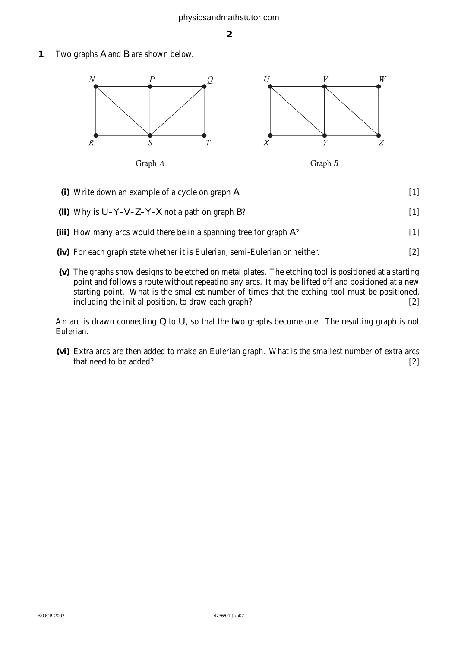### **2**

**1** Two graphs *A* and *B* are shown below.



- **(i)** Write down an example of a cycle on graph *A*. [1]
- (ii) Why is  $U-Y-V-Z-Y-X$  not a path on graph  $B$ ? [1]
- **(iii)** How many arcs would there be in a spanning tree for graph *A*? [1]
- **(iv)** For each graph state whether it is Eulerian, semi-Eulerian or neither. [2]
- **(v)** The graphs show designs to be etched on metal plates. The etching tool is positioned at a starting point and follows a route without repeating any arcs. It may be lifted off and positioned at a new starting point. What is the smallest number of times that the etching tool must be positioned, including the initial position, to draw each graph? [2]

An arc is drawn connecting *Q* to *U*, so that the two graphs become one. The resulting graph is not Eulerian.

**(vi)** Extra arcs are then added to make an Eulerian graph. What is the smallest number of extra arcs that need to be added? [2]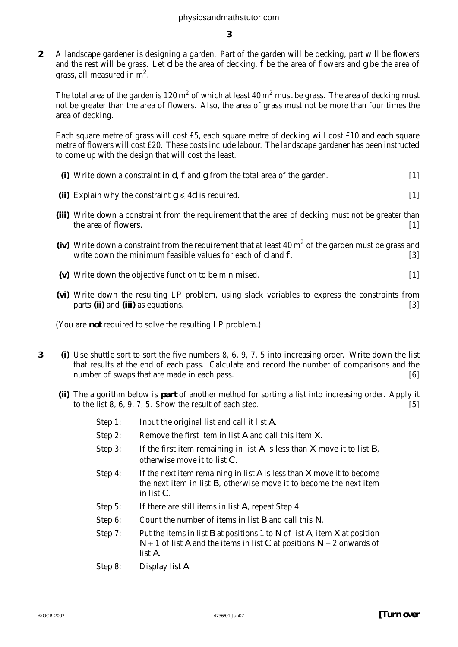**3**

**2** A landscape gardener is designing a garden. Part of the garden will be decking, part will be flowers and the rest will be grass. Let *d* be the area of decking, *f* be the area of flowers and *g* be the area of grass, all measured in  $m^2$ .

The total area of the garden is  $120 \text{ m}^2$  of which at least  $40 \text{ m}^2$  must be grass. The area of decking must not be greater than the area of flowers. Also, the area of grass must not be more than four times the area of decking.

Each square metre of grass will cost £5, each square metre of decking will cost £10 and each square metre of flowers will cost £20. These costs include labour. The landscape gardener has been instructed to come up with the design that will cost the least.

| (i) Write down a constraint in $d, f$ and g from the total area of the garden. |  |
|--------------------------------------------------------------------------------|--|
|--------------------------------------------------------------------------------|--|

**(ii)** Explain why the constraint  $g \le 4d$  is required. [1]

- **(iii)** Write down a constraint from the requirement that the area of decking must not be greater than the area of flowers. [1]
- **(iv)** Write down a constraint from the requirement that at least  $40 \text{ m}^2$  of the garden must be grass and write down the minimum feasible values for each of  $d$  and  $f$ . [3]
- **(v)** Write down the objective function to be minimised. [1]
- **(vi)** Write down the resulting LP problem, using slack variables to express the constraints from parts **(ii)** and **(iii)** as equations. [3]

(You are **not** required to solve the resulting LP problem.)

- **3** (i) Use shuttle sort to sort the five numbers 8, 6, 9, 7, 5 into increasing order. Write down the list that results at the end of each pass. Calculate and record the number of comparisons and the number of swaps that are made in each pass. [6]
	- **(ii)** The algorithm below is **part** of another method for sorting a list into increasing order. Apply it to the list  $8, 6, 9, 7, 5$ . Show the result of each step.  $[5]$ 
		- Step 1: Input the original list and call it list *A*. Step 2: Remove the first item in list *A* and call this item *X*. Step 3: If the first item remaining in list *A* is less than *X* move it to list *B*, otherwise move it to list *C*. Step 4: If the next item remaining in list *A* is less than *X* move it to become the next item in list *B*, otherwise move it to become the next item in list *C*. Step 5: If there are still items in list A, repeat Step 4. Step 6: Count the number of items in list *B* and call this *N*. Step 7: Put the items in list *B* at positions 1 to *N* of list *A*, item *X* at position  $N+1$  of list *A* and the items in list *C* at positions  $N+2$  onwards of list *A*.
		- Step 8: Display list *A*.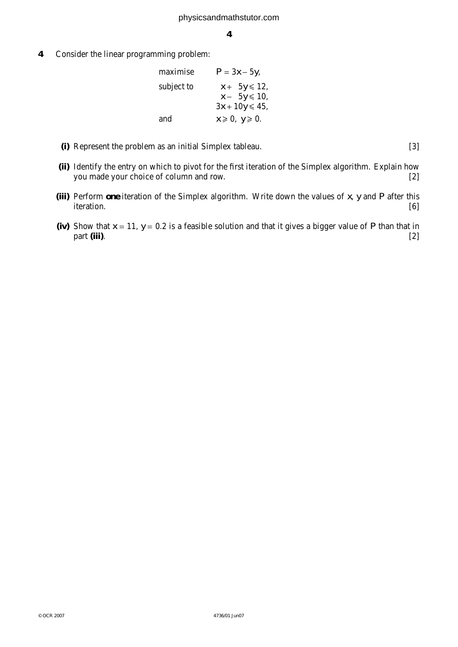**4** Consider the linear programming problem:

| maximise   | $P = 3x - 5y$ ,           |
|------------|---------------------------|
| subject to | $x + 5y \le 12$ ,         |
|            | $x - 5y \le 10$ ,         |
|            | $3x + 10y \le 45$ ,       |
| and        | $x \geq 0$ , $y \geq 0$ . |

- **(i)** Represent the problem as an initial Simplex tableau. [3]
- **(ii)** Identify the entry on which to pivot for the first iteration of the Simplex algorithm. Explain how you made your choice of column and row. [2]
- **(iii)** Perform **one** iteration of the Simplex algorithm. Write down the values of *x*, *y* and *P* after this iteration. iteration. [6]
- (iv) Show that  $x = 11$ ,  $y = 0.2$  is a feasible solution and that it gives a bigger value of *P* than that in part (iii). part **(iii)**. [2]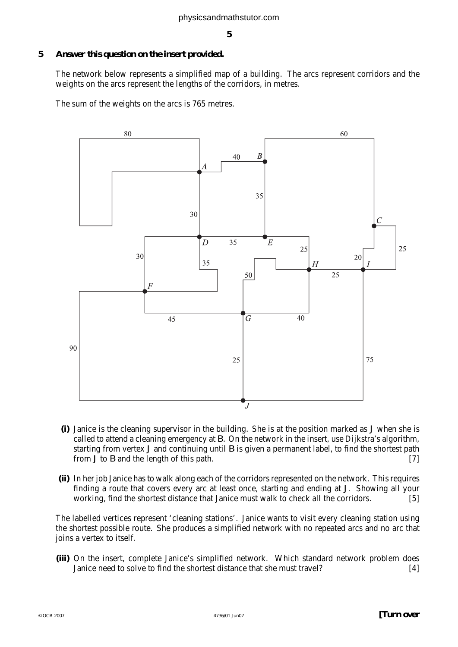## **5 Answer this question on the insert provided.**

The network below represents a simplified map of a building. The arcs represent corridors and the weights on the arcs represent the lengths of the corridors, in metres.

The sum of the weights on the arcs is 765 metres.



- **(i)** Janice is the cleaning supervisor in the building. She is at the position marked as *J* when she is called to attend a cleaning emergency at *B*. On the network in the insert, use Dijkstra's algorithm, starting from vertex *J* and continuing until *B* is given a permanent label, to find the shortest path from *J* to *B* and the length of this path. [7]
- **(ii)** In her job Janice has to walk along each of the corridors represented on the network. This requires finding a route that covers every arc at least once, starting and ending at *J*. Showing all your working, find the shortest distance that Janice must walk to check all the corridors. [5]

The labelled vertices represent 'cleaning stations'. Janice wants to visit every cleaning station using the shortest possible route. She produces a simplified network with no repeated arcs and no arc that joins a vertex to itself.

**(iii)** On the insert, complete Janice's simplified network. Which standard network problem does Janice need to solve to find the shortest distance that she must travel? [4]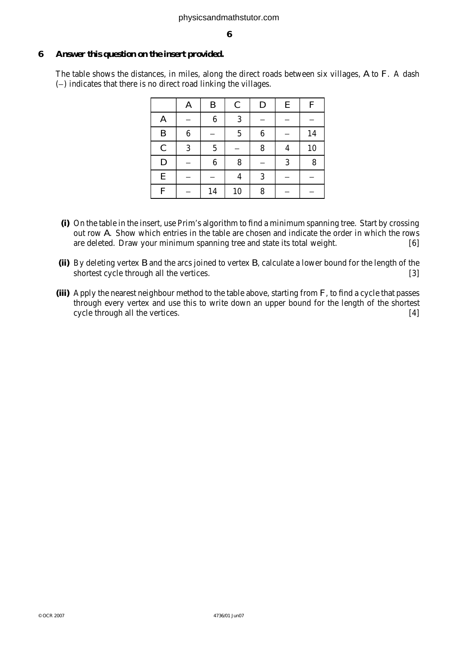#### **6**

## **6 Answer this question on the insert provided.**

The table shows the distances, in miles, along the direct roads between six villages, *A* to *F*. A dash (−) indicates that there is no direct road linking the villages.

|                  | $\boldsymbol{A}$ | $\boldsymbol{B}$ | $\boldsymbol{C}$ | $\boldsymbol{D}$ | $\boldsymbol{E}$ | $\boldsymbol{F}$ |
|------------------|------------------|------------------|------------------|------------------|------------------|------------------|
| $\boldsymbol{A}$ |                  | 6                | 3                |                  |                  |                  |
| $\boldsymbol{B}$ | 6                |                  | 5                | 6                |                  | 14               |
| $\boldsymbol{C}$ | 3                | 5                |                  | 8                |                  | 10               |
| $\boldsymbol{D}$ |                  | 6                | 8                |                  | 3                | 8                |
| $\cal E$         |                  |                  |                  | 3                |                  |                  |
| $\overline{F}$   |                  | 14               | 10               | 8                |                  |                  |

- **(i)** On the table in the insert, use Prim's algorithm to find a minimum spanning tree. Start by crossing out row *A*. Show which entries in the table are chosen and indicate the order in which the rows are deleted. Draw your minimum spanning tree and state its total weight. [6]
- **(ii)** By deleting vertex *B* and the arcs joined to vertex *B*, calculate a lower bound for the length of the shortest cycle through all the vertices. [3]
- **(iii)** Apply the nearest neighbour method to the table above, starting from *F*, to find a cycle that passes through every vertex and use this to write down an upper bound for the length of the shortest cycle through all the vertices. [4]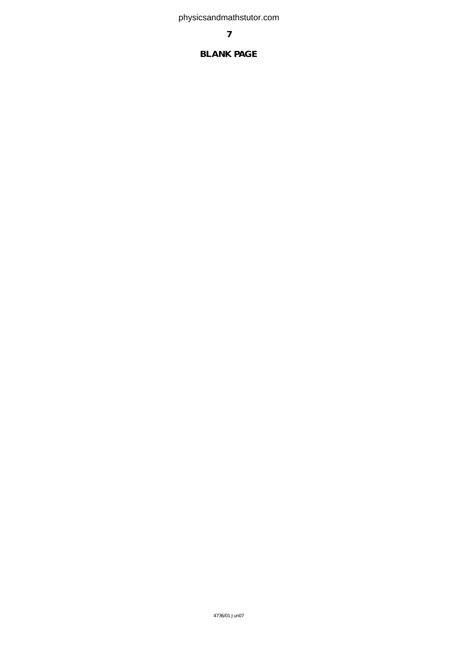## **7**

## **BLANK PAGE**